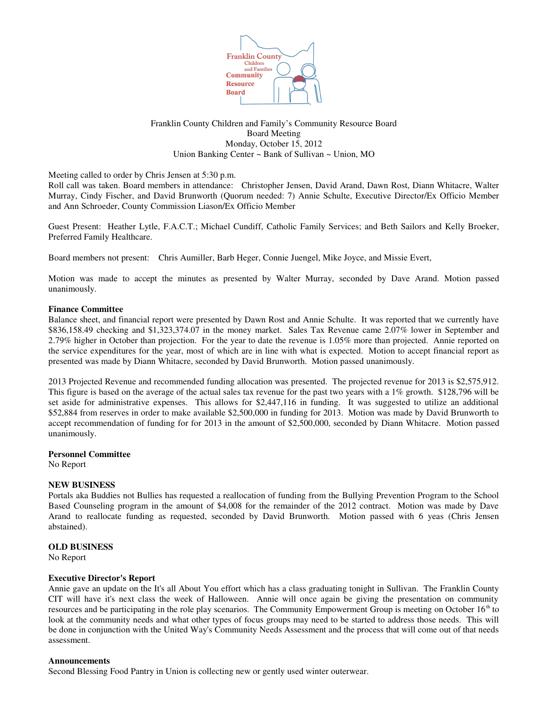

# Franklin County Children and Family's Community Resource Board Board Meeting Monday, October 15, 2012 Union Banking Center ~ Bank of Sullivan ~ Union, MO

Meeting called to order by Chris Jensen at 5:30 p.m.

Roll call was taken. Board members in attendance: Christopher Jensen, David Arand, Dawn Rost, Diann Whitacre, Walter Murray, Cindy Fischer, and David Brunworth (Quorum needed: 7) Annie Schulte, Executive Director/Ex Officio Member and Ann Schroeder, County Commission Liason/Ex Officio Member

Guest Present: Heather Lytle, F.A.C.T.; Michael Cundiff, Catholic Family Services; and Beth Sailors and Kelly Broeker, Preferred Family Healthcare.

Board members not present: Chris Aumiller, Barb Heger, Connie Juengel, Mike Joyce, and Missie Evert,

Motion was made to accept the minutes as presented by Walter Murray, seconded by Dave Arand. Motion passed unanimously.

## **Finance Committee**

Balance sheet, and financial report were presented by Dawn Rost and Annie Schulte. It was reported that we currently have \$836,158.49 checking and \$1,323,374.07 in the money market. Sales Tax Revenue came 2.07% lower in September and 2.79% higher in October than projection. For the year to date the revenue is 1.05% more than projected. Annie reported on the service expenditures for the year, most of which are in line with what is expected. Motion to accept financial report as presented was made by Diann Whitacre, seconded by David Brunworth. Motion passed unanimously.

2013 Projected Revenue and recommended funding allocation was presented. The projected revenue for 2013 is \$2,575,912. This figure is based on the average of the actual sales tax revenue for the past two years with a 1% growth. \$128,796 will be set aside for administrative expenses. This allows for \$2,447,116 in funding. It was suggested to utilize an additional \$52,884 from reserves in order to make available \$2,500,000 in funding for 2013. Motion was made by David Brunworth to accept recommendation of funding for for 2013 in the amount of \$2,500,000, seconded by Diann Whitacre. Motion passed unanimously.

## **Personnel Committee**

No Report

## **NEW BUSINESS**

Portals aka Buddies not Bullies has requested a reallocation of funding from the Bullying Prevention Program to the School Based Counseling program in the amount of \$4,008 for the remainder of the 2012 contract. Motion was made by Dave Arand to reallocate funding as requested, seconded by David Brunworth. Motion passed with 6 yeas (Chris Jensen abstained).

## **OLD BUSINESS**

No Report

## **Executive Director's Report**

Annie gave an update on the It's all About You effort which has a class graduating tonight in Sullivan. The Franklin County CIT will have it's next class the week of Halloween. Annie will once again be giving the presentation on community resources and be participating in the role play scenarios. The Community Empowerment Group is meeting on October 16<sup>th</sup> to look at the community needs and what other types of focus groups may need to be started to address those needs. This will be done in conjunction with the United Way's Community Needs Assessment and the process that will come out of that needs assessment.

## **Announcements**

Second Blessing Food Pantry in Union is collecting new or gently used winter outerwear.